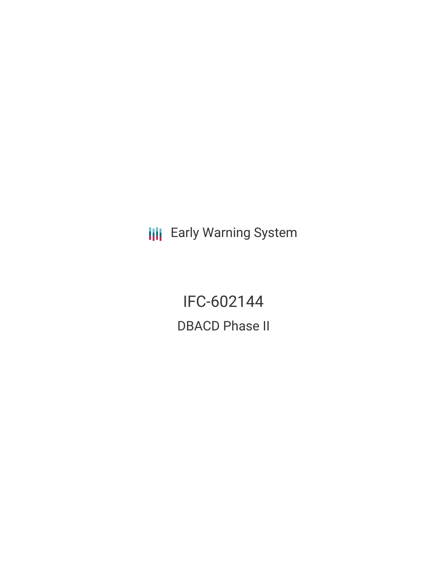**III** Early Warning System

IFC-602144 DBACD Phase II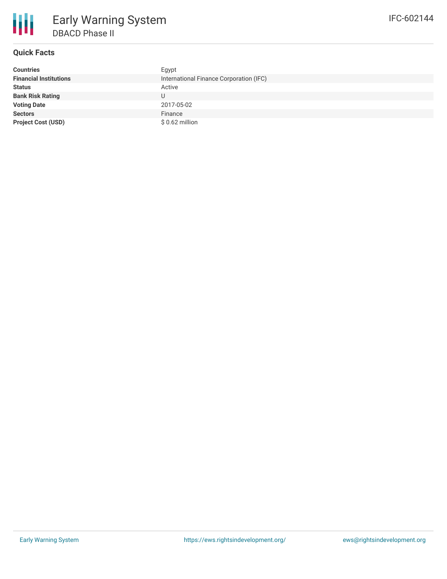

# **Quick Facts**

| <b>Countries</b>              | Egypt                                   |
|-------------------------------|-----------------------------------------|
| <b>Financial Institutions</b> | International Finance Corporation (IFC) |
| <b>Status</b>                 | Active                                  |
| <b>Bank Risk Rating</b>       | U                                       |
| <b>Voting Date</b>            | 2017-05-02                              |
| <b>Sectors</b>                | Finance                                 |
| <b>Project Cost (USD)</b>     | $$0.62$ million                         |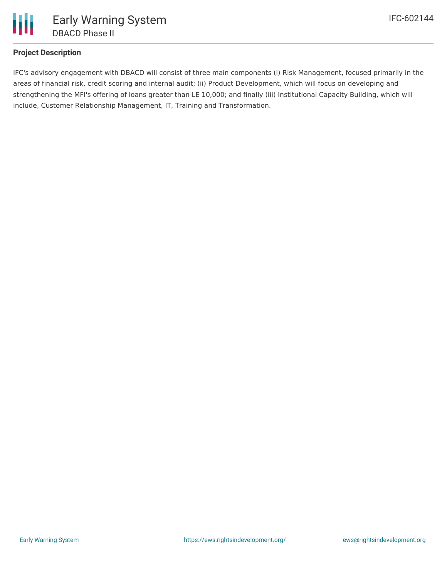

## **Project Description**

IFC's advisory engagement with DBACD will consist of three main components (i) Risk Management, focused primarily in the areas of financial risk, credit scoring and internal audit; (ii) Product Development, which will focus on developing and strengthening the MFI's offering of loans greater than LE 10,000; and finally (iii) Institutional Capacity Building, which will include, Customer Relationship Management, IT, Training and Transformation.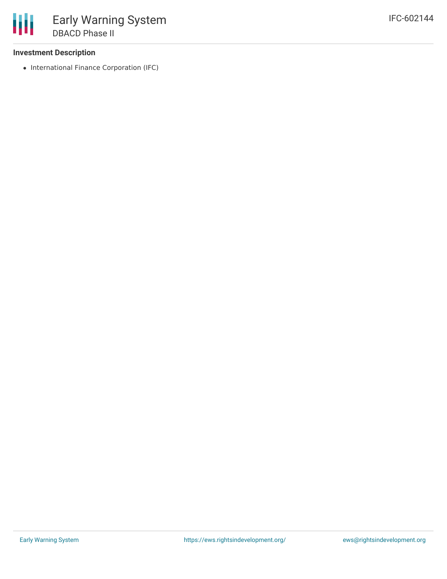### **Investment Description**

• International Finance Corporation (IFC)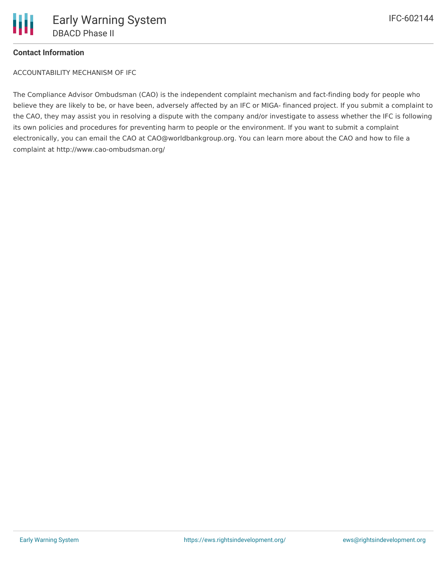### **Contact Information**

ACCOUNTABILITY MECHANISM OF IFC

The Compliance Advisor Ombudsman (CAO) is the independent complaint mechanism and fact-finding body for people who believe they are likely to be, or have been, adversely affected by an IFC or MIGA- financed project. If you submit a complaint to the CAO, they may assist you in resolving a dispute with the company and/or investigate to assess whether the IFC is following its own policies and procedures for preventing harm to people or the environment. If you want to submit a complaint electronically, you can email the CAO at CAO@worldbankgroup.org. You can learn more about the CAO and how to file a complaint at http://www.cao-ombudsman.org/